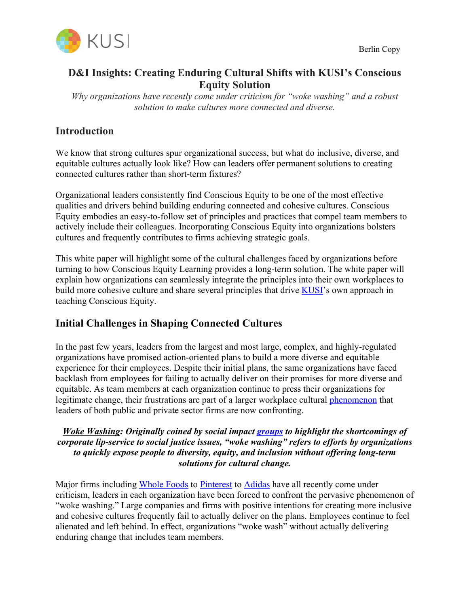

# **D&I Insights: Creating Enduring Cultural Shifts with KUSI's Conscious Equity Solution**

*Why organizations have recently come under criticism for "woke washing" and a robust solution to make cultures more connected and diverse.*

## **Introduction**

We know that strong cultures spur organizational success, but what do inclusive, diverse, and equitable cultures actually look like? How can leaders offer permanent solutions to creating connected cultures rather than short-term fixtures?

Organizational leaders consistently find Conscious Equity to be one of the most effective qualities and drivers behind building enduring connected and cohesive cultures. Conscious Equity embodies an easy-to-follow set of principles and practices that compel team members to actively include their colleagues. Incorporating Conscious Equity into organizations bolsters cultures and frequently contributes to firms achieving strategic goals.

This white paper will highlight some of the cultural challenges faced by organizations before turning to how Conscious Equity Learning provides a long-term solution. The white paper will explain how organizations can seamlessly integrate the principles into their own workplaces to build more cohesive culture and share several principles that drive **KUSI**'s own approach in teaching Conscious Equity.

## **Initial Challenges in Shaping Connected Cultures**

In the past few years, leaders from the largest and most large, complex, and highly-regulated organizations have promised action-oriented plans to build a more diverse and equitable experience for their employees. Despite their initial plans, the same organizations have faced backlash from employees for failing to actually deliver on their promises for more diverse and equitable. As team members at each organization continue to press their organizations for legitimate change, their frustrations are part of a larger workplace cultural phenomenon that leaders of both public and private sector firms are now confronting.

#### *Woke Washing: Originally coined by social impact groups to highlight the shortcomings of corporate lip-service to social justice issues, "woke washing" refers to efforts by organizations to quickly expose people to diversity, equity, and inclusion without offering long-term solutions for cultural change.*

Major firms including Whole Foods to Pinterest to Adidas have all recently come under criticism, leaders in each organization have been forced to confront the pervasive phenomenon of "woke washing." Large companies and firms with positive intentions for creating more inclusive and cohesive cultures frequently fail to actually deliver on the plans. Employees continue to feel alienated and left behind. In effect, organizations "woke wash" without actually delivering enduring change that includes team members.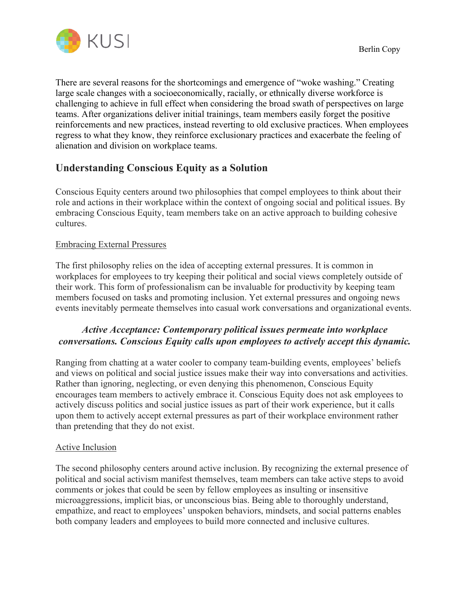

There are several reasons for the shortcomings and emergence of "woke washing." Creating large scale changes with a socioeconomically, racially, or ethnically diverse workforce is challenging to achieve in full effect when considering the broad swath of perspectives on large teams. After organizations deliver initial trainings, team members easily forget the positive reinforcements and new practices, instead reverting to old exclusive practices. When employees regress to what they know, they reinforce exclusionary practices and exacerbate the feeling of alienation and division on workplace teams.

## **Understanding Conscious Equity as a Solution**

Conscious Equity centers around two philosophies that compel employees to think about their role and actions in their workplace within the context of ongoing social and political issues. By embracing Conscious Equity, team members take on an active approach to building cohesive cultures.

#### Embracing External Pressures

The first philosophy relies on the idea of accepting external pressures. It is common in workplaces for employees to try keeping their political and social views completely outside of their work. This form of professionalism can be invaluable for productivity by keeping team members focused on tasks and promoting inclusion. Yet external pressures and ongoing news events inevitably permeate themselves into casual work conversations and organizational events.

## *Active Acceptance: Contemporary political issues permeate into workplace conversations. Conscious Equity calls upon employees to actively accept this dynamic.*

Ranging from chatting at a water cooler to company team-building events, employees' beliefs and views on political and social justice issues make their way into conversations and activities. Rather than ignoring, neglecting, or even denying this phenomenon, Conscious Equity encourages team members to actively embrace it. Conscious Equity does not ask employees to actively discuss politics and social justice issues as part of their work experience, but it calls upon them to actively accept external pressures as part of their workplace environment rather than pretending that they do not exist.

#### Active Inclusion

The second philosophy centers around active inclusion. By recognizing the external presence of political and social activism manifest themselves, team members can take active steps to avoid comments or jokes that could be seen by fellow employees as insulting or insensitive microaggressions, implicit bias, or unconscious bias. Being able to thoroughly understand, empathize, and react to employees' unspoken behaviors, mindsets, and social patterns enables both company leaders and employees to build more connected and inclusive cultures.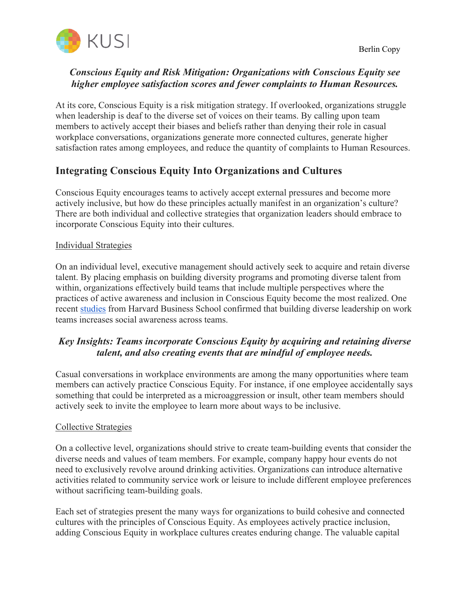## *Conscious Equity and Risk Mitigation: Organizations with Conscious Equity see higher employee satisfaction scores and fewer complaints to Human Resources.*

At its core, Conscious Equity is a risk mitigation strategy. If overlooked, organizations struggle when leadership is deaf to the diverse set of voices on their teams. By calling upon team members to actively accept their biases and beliefs rather than denying their role in casual workplace conversations, organizations generate more connected cultures, generate higher satisfaction rates among employees, and reduce the quantity of complaints to Human Resources.

# **Integrating Conscious Equity Into Organizations and Cultures**

Conscious Equity encourages teams to actively accept external pressures and become more actively inclusive, but how do these principles actually manifest in an organization's culture? There are both individual and collective strategies that organization leaders should embrace to incorporate Conscious Equity into their cultures.

#### Individual Strategies

On an individual level, executive management should actively seek to acquire and retain diverse talent. By placing emphasis on building diversity programs and promoting diverse talent from within, organizations effectively build teams that include multiple perspectives where the practices of active awareness and inclusion in Conscious Equity become the most realized. One recent studies from Harvard Business School confirmed that building diverse leadership on work teams increases social awareness across teams.

## *Key Insights: Teams incorporate Conscious Equity by acquiring and retaining diverse talent, and also creating events that are mindful of employee needs.*

Casual conversations in workplace environments are among the many opportunities where team members can actively practice Conscious Equity. For instance, if one employee accidentally says something that could be interpreted as a microaggression or insult, other team members should actively seek to invite the employee to learn more about ways to be inclusive.

#### Collective Strategies

On a collective level, organizations should strive to create team-building events that consider the diverse needs and values of team members. For example, company happy hour events do not need to exclusively revolve around drinking activities. Organizations can introduce alternative activities related to community service work or leisure to include different employee preferences without sacrificing team-building goals.

Each set of strategies present the many ways for organizations to build cohesive and connected cultures with the principles of Conscious Equity. As employees actively practice inclusion, adding Conscious Equity in workplace cultures creates enduring change. The valuable capital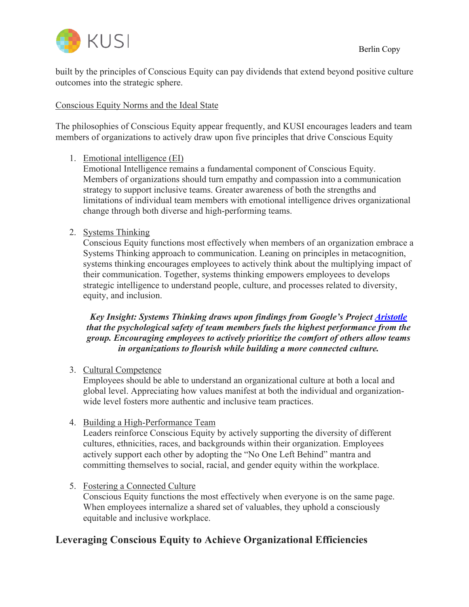

built by the principles of Conscious Equity can pay dividends that extend beyond positive culture outcomes into the strategic sphere.

### Conscious Equity Norms and the Ideal State

The philosophies of Conscious Equity appear frequently, and KUSI encourages leaders and team members of organizations to actively draw upon five principles that drive Conscious Equity

1. Emotional intelligence (EI)

Emotional Intelligence remains a fundamental component of Conscious Equity. Members of organizations should turn empathy and compassion into a communication strategy to support inclusive teams. Greater awareness of both the strengths and limitations of individual team members with emotional intelligence drives organizational change through both diverse and high-performing teams.

## 2. Systems Thinking

Conscious Equity functions most effectively when members of an organization embrace a Systems Thinking approach to communication. Leaning on principles in metacognition, systems thinking encourages employees to actively think about the multiplying impact of their communication. Together, systems thinking empowers employees to develops strategic intelligence to understand people, culture, and processes related to diversity, equity, and inclusion.

*Key Insight: Systems Thinking draws upon findings from Google's Project Aristotle that the psychological safety of team members fuels the highest performance from the group. Encouraging employees to actively prioritize the comfort of others allow teams in organizations to flourish while building a more connected culture.* 

3. Cultural Competence

Employees should be able to understand an organizational culture at both a local and global level. Appreciating how values manifest at both the individual and organizationwide level fosters more authentic and inclusive team practices.

4. Building a High-Performance Team

Leaders reinforce Conscious Equity by actively supporting the diversity of different cultures, ethnicities, races, and backgrounds within their organization. Employees actively support each other by adopting the "No One Left Behind" mantra and committing themselves to social, racial, and gender equity within the workplace.

5. Fostering a Connected Culture

Conscious Equity functions the most effectively when everyone is on the same page. When employees internalize a shared set of valuables, they uphold a consciously equitable and inclusive workplace.

# **Leveraging Conscious Equity to Achieve Organizational Efficiencies**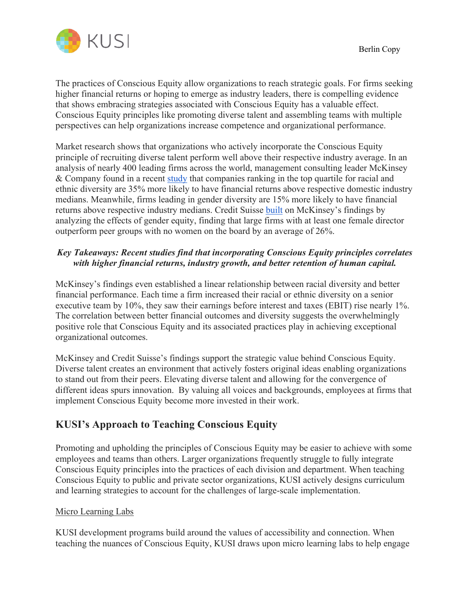The practices of Conscious Equity allow organizations to reach strategic goals. For firms seeking higher financial returns or hoping to emerge as industry leaders, there is compelling evidence that shows embracing strategies associated with Conscious Equity has a valuable effect. Conscious Equity principles like promoting diverse talent and assembling teams with multiple perspectives can help organizations increase competence and organizational performance.

Market research shows that organizations who actively incorporate the Conscious Equity principle of recruiting diverse talent perform well above their respective industry average. In an analysis of nearly 400 leading firms across the world, management consulting leader McKinsey & Company found in a recent study that companies ranking in the top quartile for racial and ethnic diversity are 35% more likely to have financial returns above respective domestic industry medians. Meanwhile, firms leading in gender diversity are 15% more likely to have financial returns above respective industry medians. Credit Suisse built on McKinsey's findings by analyzing the effects of gender equity, finding that large firms with at least one female director outperform peer groups with no women on the board by an average of 26%.

## *Key Takeaways: Recent studies find that incorporating Conscious Equity principles correlates with higher financial returns, industry growth, and better retention of human capital.*

McKinsey's findings even established a linear relationship between racial diversity and better financial performance. Each time a firm increased their racial or ethnic diversity on a senior executive team by 10%, they saw their earnings before interest and taxes (EBIT) rise nearly 1%. The correlation between better financial outcomes and diversity suggests the overwhelmingly positive role that Conscious Equity and its associated practices play in achieving exceptional organizational outcomes.

McKinsey and Credit Suisse's findings support the strategic value behind Conscious Equity. Diverse talent creates an environment that actively fosters original ideas enabling organizations to stand out from their peers. Elevating diverse talent and allowing for the convergence of different ideas spurs innovation. By valuing all voices and backgrounds, employees at firms that implement Conscious Equity become more invested in their work.

# **KUSI's Approach to Teaching Conscious Equity**

Promoting and upholding the principles of Conscious Equity may be easier to achieve with some employees and teams than others. Larger organizations frequently struggle to fully integrate Conscious Equity principles into the practices of each division and department. When teaching Conscious Equity to public and private sector organizations, KUSI actively designs curriculum and learning strategies to account for the challenges of large-scale implementation.

### Micro Learning Labs

KUSI development programs build around the values of accessibility and connection. When teaching the nuances of Conscious Equity, KUSI draws upon micro learning labs to help engage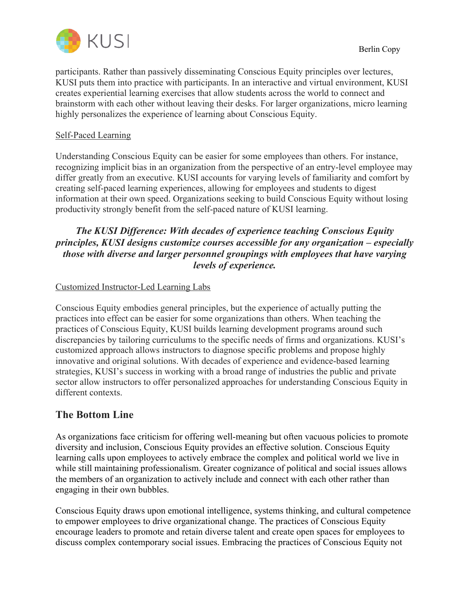

participants. Rather than passively disseminating Conscious Equity principles over lectures, KUSI puts them into practice with participants. In an interactive and virtual environment, KUSI creates experiential learning exercises that allow students across the world to connect and brainstorm with each other without leaving their desks. For larger organizations, micro learning highly personalizes the experience of learning about Conscious Equity.

#### Self-Paced Learning

Understanding Conscious Equity can be easier for some employees than others. For instance, recognizing implicit bias in an organization from the perspective of an entry-level employee may differ greatly from an executive. KUSI accounts for varying levels of familiarity and comfort by creating self-paced learning experiences, allowing for employees and students to digest information at their own speed. Organizations seeking to build Conscious Equity without losing productivity strongly benefit from the self-paced nature of KUSI learning.

## *The KUSI Difference: With decades of experience teaching Conscious Equity principles, KUSI designs customize courses accessible for any organization – especially those with diverse and larger personnel groupings with employees that have varying levels of experience.*

### Customized Instructor-Led Learning Labs

Conscious Equity embodies general principles, but the experience of actually putting the practices into effect can be easier for some organizations than others. When teaching the practices of Conscious Equity, KUSI builds learning development programs around such discrepancies by tailoring curriculums to the specific needs of firms and organizations. KUSI's customized approach allows instructors to diagnose specific problems and propose highly innovative and original solutions. With decades of experience and evidence-based learning strategies, KUSI's success in working with a broad range of industries the public and private sector allow instructors to offer personalized approaches for understanding Conscious Equity in different contexts.

## **The Bottom Line**

As organizations face criticism for offering well-meaning but often vacuous policies to promote diversity and inclusion, Conscious Equity provides an effective solution. Conscious Equity learning calls upon employees to actively embrace the complex and political world we live in while still maintaining professionalism. Greater cognizance of political and social issues allows the members of an organization to actively include and connect with each other rather than engaging in their own bubbles.

Conscious Equity draws upon emotional intelligence, systems thinking, and cultural competence to empower employees to drive organizational change. The practices of Conscious Equity encourage leaders to promote and retain diverse talent and create open spaces for employees to discuss complex contemporary social issues. Embracing the practices of Conscious Equity not